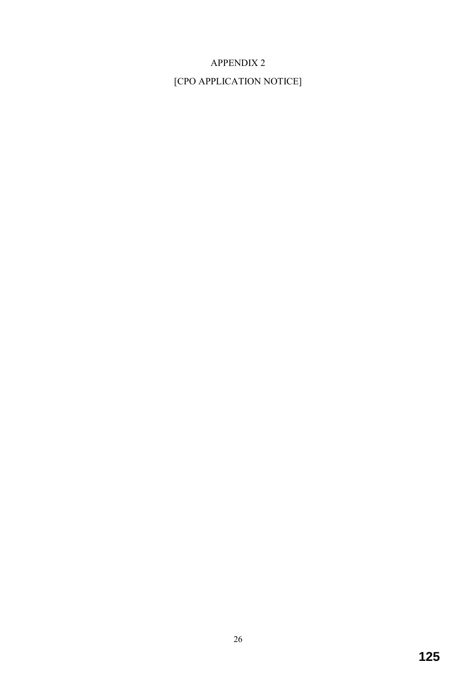## APPENDIX 2

[CPO APPLICATION NOTICE]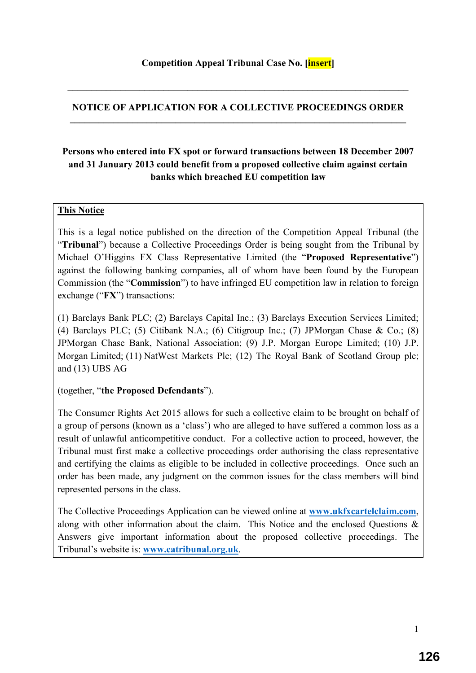#### **NOTICE OF APPLICATION FOR A COLLECTIVE PROCEEDINGS ORDER**   $\mathcal{L}_\mathcal{L} = \{ \mathcal{L}_\mathcal{L} = \{ \mathcal{L}_\mathcal{L} = \{ \mathcal{L}_\mathcal{L} = \{ \mathcal{L}_\mathcal{L} = \{ \mathcal{L}_\mathcal{L} = \{ \mathcal{L}_\mathcal{L} = \{ \mathcal{L}_\mathcal{L} = \{ \mathcal{L}_\mathcal{L} = \{ \mathcal{L}_\mathcal{L} = \{ \mathcal{L}_\mathcal{L} = \{ \mathcal{L}_\mathcal{L} = \{ \mathcal{L}_\mathcal{L} = \{ \mathcal{L}_\mathcal{L} = \{ \mathcal{L}_\mathcal{$

**\_\_\_\_\_\_\_\_\_\_\_\_\_\_\_\_\_\_\_\_\_\_\_\_\_\_\_\_\_\_\_\_\_\_\_\_\_\_\_\_\_\_\_\_\_\_\_\_\_\_\_\_\_\_\_\_\_\_\_\_\_\_\_\_\_\_\_\_\_\_\_** 

### **Persons who entered into FX spot or forward transactions between 18 December 2007 and 31 January 2013 could benefit from a proposed collective claim against certain banks which breached EU competition law**

#### **This Notice**

This is a legal notice published on the direction of the Competition Appeal Tribunal (the "**Tribunal**") because a Collective Proceedings Order is being sought from the Tribunal by Michael O'Higgins FX Class Representative Limited (the "**Proposed Representative**") against the following banking companies, all of whom have been found by the European Commission (the "**Commission**") to have infringed EU competition law in relation to foreign exchange ("**FX**") transactions:

(1) Barclays Bank PLC; (2) Barclays Capital Inc.; (3) Barclays Execution Services Limited; (4) Barclays PLC; (5) Citibank N.A.; (6) Citigroup Inc.; (7) JPMorgan Chase & Co.; (8) JPMorgan Chase Bank, National Association; (9) J.P. Morgan Europe Limited; (10) J.P. Morgan Limited; (11) NatWest Markets Plc; (12) The Royal Bank of Scotland Group plc; and (13) UBS AG

(together, "**the Proposed Defendants**").

The Consumer Rights Act 2015 allows for such a collective claim to be brought on behalf of a group of persons (known as a 'class') who are alleged to have suffered a common loss as a result of unlawful anticompetitive conduct. For a collective action to proceed, however, the Tribunal must first make a collective proceedings order authorising the class representative and certifying the claims as eligible to be included in collective proceedings. Once such an order has been made, any judgment on the common issues for the class members will bind represented persons in the class.

The Collective Proceedings Application can be viewed online at **www.ukfxcartelclaim.com**, along with other information about the claim. This Notice and the enclosed Questions & Answers give important information about the proposed collective proceedings. The Tribunal's website is: **www.catribunal.org.uk**.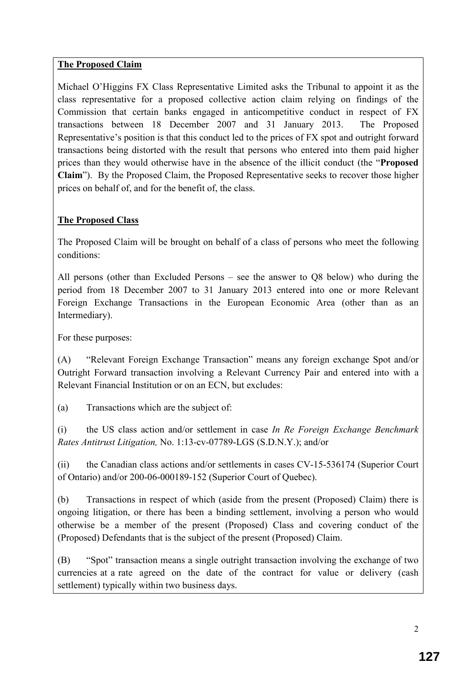### **The Proposed Claim**

Michael O'Higgins FX Class Representative Limited asks the Tribunal to appoint it as the class representative for a proposed collective action claim relying on findings of the Commission that certain banks engaged in anticompetitive conduct in respect of FX transactions between 18 December 2007 and 31 January 2013. The Proposed Representative's position is that this conduct led to the prices of FX spot and outright forward transactions being distorted with the result that persons who entered into them paid higher prices than they would otherwise have in the absence of the illicit conduct (the "**Proposed Claim**"). By the Proposed Claim, the Proposed Representative seeks to recover those higher prices on behalf of, and for the benefit of, the class.

### **The Proposed Class**

The Proposed Claim will be brought on behalf of a class of persons who meet the following conditions:

All persons (other than Excluded Persons – see the answer to Q8 below) who during the period from 18 December 2007 to 31 January 2013 entered into one or more Relevant Foreign Exchange Transactions in the European Economic Area (other than as an Intermediary).

For these purposes:

(A) "Relevant Foreign Exchange Transaction" means any foreign exchange Spot and/or Outright Forward transaction involving a Relevant Currency Pair and entered into with a Relevant Financial Institution or on an ECN, but excludes:

(a) Transactions which are the subject of:

(i) the US class action and/or settlement in case *In Re Foreign Exchange Benchmark Rates Antitrust Litigation,* No. 1:13-cv-07789-LGS (S.D.N.Y.); and/or

(ii) the Canadian class actions and/or settlements in cases CV-15-536174 (Superior Court of Ontario) and/or 200-06-000189-152 (Superior Court of Quebec).

(b) Transactions in respect of which (aside from the present (Proposed) Claim) there is ongoing litigation, or there has been a binding settlement, involving a person who would otherwise be a member of the present (Proposed) Class and covering conduct of the (Proposed) Defendants that is the subject of the present (Proposed) Claim.

(B) "Spot" transaction means a single outright transaction involving the exchange of two currencies at a rate agreed on the date of the contract for value or delivery (cash settlement) typically within two business days.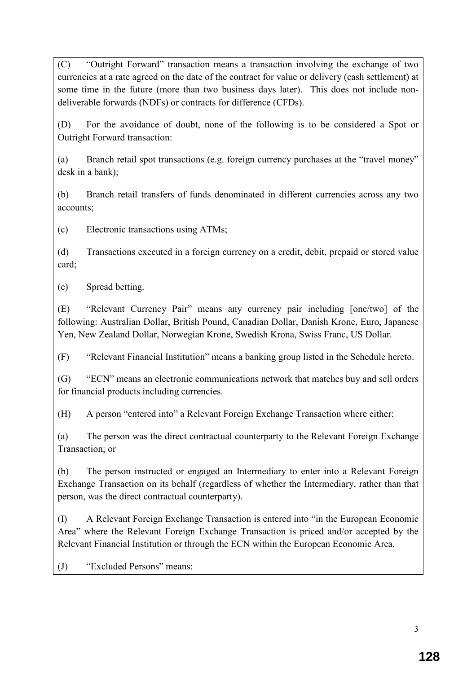(C) "Outright Forward" transaction means a transaction involving the exchange of two currencies at a rate agreed on the date of the contract for value or delivery (cash settlement) at some time in the future (more than two business days later). This does not include nondeliverable forwards (NDFs) or contracts for difference (CFDs).

(D) For the avoidance of doubt, none of the following is to be considered a Spot or Outright Forward transaction:

(a) Branch retail spot transactions (e.g. foreign currency purchases at the "travel money" desk in a bank);

(b) Branch retail transfers of funds denominated in different currencies across any two accounts;

(c) Electronic transactions using ATMs;

(d) Transactions executed in a foreign currency on a credit, debit, prepaid or stored value card;

(e) Spread betting.

(E) "Relevant Currency Pair" means any currency pair including [one/two] of the following: Australian Dollar, British Pound, Canadian Dollar, Danish Krone, Euro, Japanese Yen, New Zealand Dollar, Norwegian Krone, Swedish Krona, Swiss Franc, US Dollar.

(F) "Relevant Financial Institution" means a banking group listed in the Schedule hereto.

(G) "ECN" means an electronic communications network that matches buy and sell orders for financial products including currencies.

(H) A person "entered into" a Relevant Foreign Exchange Transaction where either:

(a) The person was the direct contractual counterparty to the Relevant Foreign Exchange Transaction; or

(b) The person instructed or engaged an Intermediary to enter into a Relevant Foreign Exchange Transaction on its behalf (regardless of whether the Intermediary, rather than that person, was the direct contractual counterparty).

(I) A Relevant Foreign Exchange Transaction is entered into "in the European Economic Area" where the Relevant Foreign Exchange Transaction is priced and/or accepted by the Relevant Financial Institution or through the ECN within the European Economic Area.

(J) "Excluded Persons" means: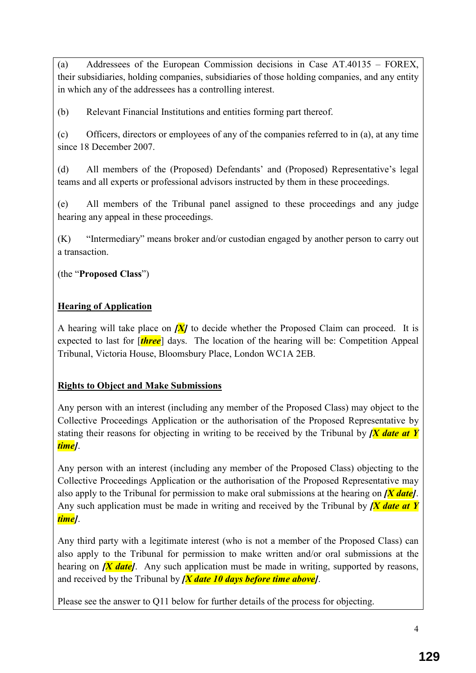(a) Addressees of the European Commission decisions in Case AT.40135 – FOREX, their subsidiaries, holding companies, subsidiaries of those holding companies, and any entity in which any of the addressees has a controlling interest.

(b) Relevant Financial Institutions and entities forming part thereof.

(c) Officers, directors or employees of any of the companies referred to in (a), at any time since 18 December 2007.

(d) All members of the (Proposed) Defendants' and (Proposed) Representative's legal teams and all experts or professional advisors instructed by them in these proceedings.

(e) All members of the Tribunal panel assigned to these proceedings and any judge hearing any appeal in these proceedings.

(K) "Intermediary" means broker and/or custodian engaged by another person to carry out a transaction.

(the "**Proposed Class**")

# **Hearing of Application**

A hearing will take place on  $\overline{X}$  to decide whether the Proposed Claim can proceed. It is expected to last for [*three*] days. The location of the hearing will be: Competition Appeal Tribunal, Victoria House, Bloomsbury Place, London WC1A 2EB.

## **Rights to Object and Make Submissions**

Any person with an interest (including any member of the Proposed Class) may object to the Collective Proceedings Application or the authorisation of the Proposed Representative by stating their reasons for objecting in writing to be received by the Tribunal by *[X date at Y time]*.

Any person with an interest (including any member of the Proposed Class) objecting to the Collective Proceedings Application or the authorisation of the Proposed Representative may also apply to the Tribunal for permission to make oral submissions at the hearing on *[X date]*. Any such application must be made in writing and received by the Tribunal by *[X date at Y time]*.

Any third party with a legitimate interest (who is not a member of the Proposed Class) can also apply to the Tribunal for permission to make written and/or oral submissions at the hearing on  $\overline{X}$  *date*. Any such application must be made in writing, supported by reasons, and received by the Tribunal by *[X date 10 days before time above]*.

Please see the answer to Q11 below for further details of the process for objecting.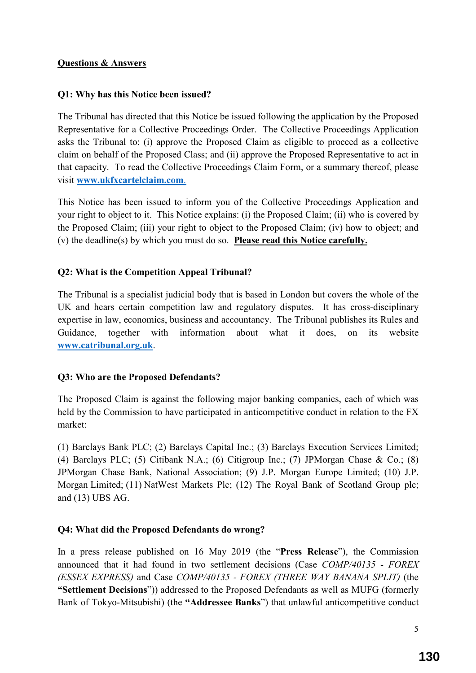#### **Questions & Answers**

### **Q1: Why has this Notice been issued?**

The Tribunal has directed that this Notice be issued following the application by the Proposed Representative for a Collective Proceedings Order. The Collective Proceedings Application asks the Tribunal to: (i) approve the Proposed Claim as eligible to proceed as a collective claim on behalf of the Proposed Class; and (ii) approve the Proposed Representative to act in that capacity. To read the Collective Proceedings Claim Form, or a summary thereof, please visit **www.ukfxcartelclaim.com**.

This Notice has been issued to inform you of the Collective Proceedings Application and your right to object to it. This Notice explains: (i) the Proposed Claim; (ii) who is covered by the Proposed Claim; (iii) your right to object to the Proposed Claim; (iv) how to object; and (v) the deadline(s) by which you must do so. **Please read this Notice carefully.**

### **Q2: What is the Competition Appeal Tribunal?**

The Tribunal is a specialist judicial body that is based in London but covers the whole of the UK and hears certain competition law and regulatory disputes. It has cross-disciplinary expertise in law, economics, business and accountancy. The Tribunal publishes its Rules and Guidance, together with information about what it does, on its website **www.catribunal.org.uk**.

#### **Q3: Who are the Proposed Defendants?**

The Proposed Claim is against the following major banking companies, each of which was held by the Commission to have participated in anticompetitive conduct in relation to the FX market:

(1) Barclays Bank PLC; (2) Barclays Capital Inc.; (3) Barclays Execution Services Limited; (4) Barclays PLC; (5) Citibank N.A.; (6) Citigroup Inc.; (7) JPMorgan Chase & Co.; (8) JPMorgan Chase Bank, National Association; (9) J.P. Morgan Europe Limited; (10) J.P. Morgan Limited; (11) NatWest Markets Plc; (12) The Royal Bank of Scotland Group plc; and (13) UBS AG.

### **Q4: What did the Proposed Defendants do wrong?**

In a press release published on 16 May 2019 (the "**Press Release**"), the Commission announced that it had found in two settlement decisions (Case *COMP/40135* - *FOREX (ESSEX EXPRESS)* and Case *COMP/40135 - FOREX (THREE WAY BANANA SPLIT)* (the **"Settlement Decisions**")) addressed to the Proposed Defendants as well as MUFG (formerly Bank of Tokyo-Mitsubishi) (the **"Addressee Banks**") that unlawful anticompetitive conduct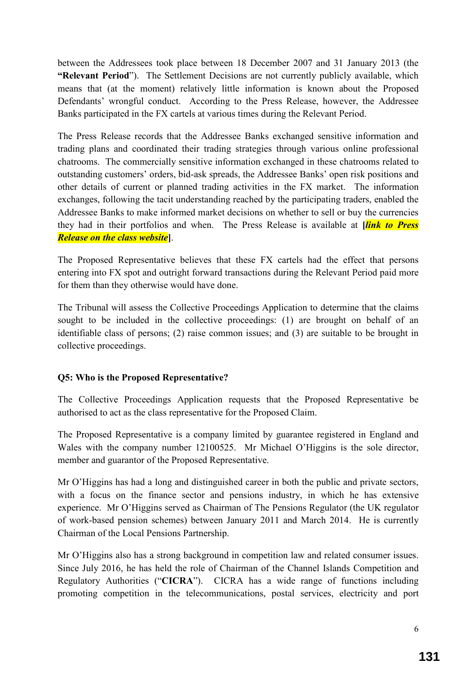between the Addressees took place between 18 December 2007 and 31 January 2013 (the **"Relevant Period**"). The Settlement Decisions are not currently publicly available, which means that (at the moment) relatively little information is known about the Proposed Defendants' wrongful conduct. According to the Press Release, however, the Addressee Banks participated in the FX cartels at various times during the Relevant Period.

The Press Release records that the Addressee Banks exchanged sensitive information and trading plans and coordinated their trading strategies through various online professional chatrooms. The commercially sensitive information exchanged in these chatrooms related to outstanding customers' orders, bid-ask spreads, the Addressee Banks' open risk positions and other details of current or planned trading activities in the FX market. The information exchanges, following the tacit understanding reached by the participating traders, enabled the Addressee Banks to make informed market decisions on whether to sell or buy the currencies they had in their portfolios and when. The Press Release is available at **[***link to Press Release on the class website***]**.

The Proposed Representative believes that these FX cartels had the effect that persons entering into FX spot and outright forward transactions during the Relevant Period paid more for them than they otherwise would have done.

The Tribunal will assess the Collective Proceedings Application to determine that the claims sought to be included in the collective proceedings: (1) are brought on behalf of an identifiable class of persons; (2) raise common issues; and (3) are suitable to be brought in collective proceedings.

### **Q5: Who is the Proposed Representative?**

The Collective Proceedings Application requests that the Proposed Representative be authorised to act as the class representative for the Proposed Claim.

The Proposed Representative is a company limited by guarantee registered in England and Wales with the company number 12100525.Mr Michael O'Higgins is the sole director, member and guarantor of the Proposed Representative.

Mr O'Higgins has had a long and distinguished career in both the public and private sectors, with a focus on the finance sector and pensions industry, in which he has extensive experience. Mr O'Higgins served as Chairman of The Pensions Regulator (the UK regulator of work-based pension schemes) between January 2011 and March 2014. He is currently Chairman of the Local Pensions Partnership.

Mr O'Higgins also has a strong background in competition law and related consumer issues. Since July 2016, he has held the role of Chairman of the Channel Islands Competition and Regulatory Authorities ("**CICRA**"). CICRA has a wide range of functions including promoting competition in the telecommunications, postal services, electricity and port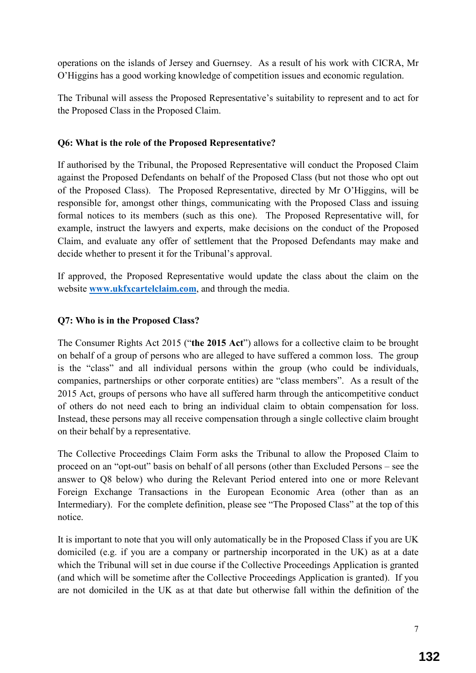operations on the islands of Jersey and Guernsey. As a result of his work with CICRA, Mr O'Higgins has a good working knowledge of competition issues and economic regulation.

The Tribunal will assess the Proposed Representative's suitability to represent and to act for the Proposed Class in the Proposed Claim.

### **Q6: What is the role of the Proposed Representative?**

If authorised by the Tribunal, the Proposed Representative will conduct the Proposed Claim against the Proposed Defendants on behalf of the Proposed Class (but not those who opt out of the Proposed Class). The Proposed Representative, directed by Mr O'Higgins, will be responsible for, amongst other things, communicating with the Proposed Class and issuing formal notices to its members (such as this one). The Proposed Representative will, for example, instruct the lawyers and experts, make decisions on the conduct of the Proposed Claim, and evaluate any offer of settlement that the Proposed Defendants may make and decide whether to present it for the Tribunal's approval.

If approved, the Proposed Representative would update the class about the claim on the website **www.ukfxcartelclaim.com**, and through the media.

#### **Q7: Who is in the Proposed Class?**

The Consumer Rights Act 2015 ("**the 2015 Act**") allows for a collective claim to be brought on behalf of a group of persons who are alleged to have suffered a common loss. The group is the "class" and all individual persons within the group (who could be individuals, companies, partnerships or other corporate entities) are "class members". As a result of the 2015 Act, groups of persons who have all suffered harm through the anticompetitive conduct of others do not need each to bring an individual claim to obtain compensation for loss. Instead, these persons may all receive compensation through a single collective claim brought on their behalf by a representative.

The Collective Proceedings Claim Form asks the Tribunal to allow the Proposed Claim to proceed on an "opt-out" basis on behalf of all persons (other than Excluded Persons – see the answer to Q8 below) who during the Relevant Period entered into one or more Relevant Foreign Exchange Transactions in the European Economic Area (other than as an Intermediary). For the complete definition, please see "The Proposed Class" at the top of this notice.

It is important to note that you will only automatically be in the Proposed Class if you are UK domiciled (e.g. if you are a company or partnership incorporated in the UK) as at a date which the Tribunal will set in due course if the Collective Proceedings Application is granted (and which will be sometime after the Collective Proceedings Application is granted). If you are not domiciled in the UK as at that date but otherwise fall within the definition of the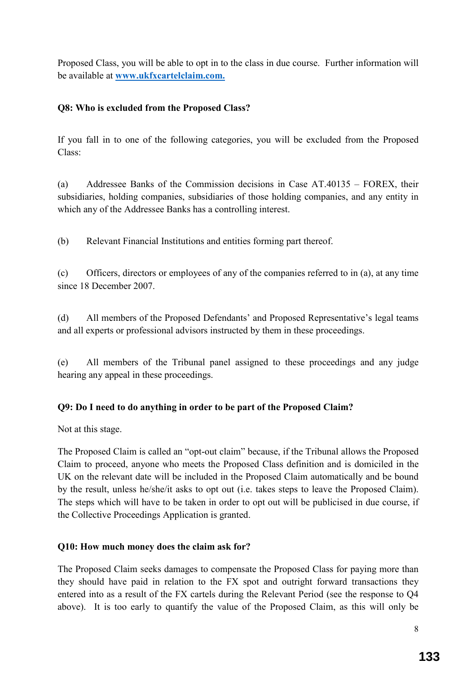Proposed Class, you will be able to opt in to the class in due course. Further information will be available at **www.ukfxcartelclaim.com.**

## **Q8: Who is excluded from the Proposed Class?**

If you fall in to one of the following categories, you will be excluded from the Proposed Class:

(a) Addressee Banks of the Commission decisions in Case AT.40135 – FOREX, their subsidiaries, holding companies, subsidiaries of those holding companies, and any entity in which any of the Addressee Banks has a controlling interest.

(b) Relevant Financial Institutions and entities forming part thereof.

(c) Officers, directors or employees of any of the companies referred to in (a), at any time since 18 December 2007.

(d) All members of the Proposed Defendants' and Proposed Representative's legal teams and all experts or professional advisors instructed by them in these proceedings.

(e) All members of the Tribunal panel assigned to these proceedings and any judge hearing any appeal in these proceedings.

## **Q9: Do I need to do anything in order to be part of the Proposed Claim?**

Not at this stage.

The Proposed Claim is called an "opt-out claim" because, if the Tribunal allows the Proposed Claim to proceed, anyone who meets the Proposed Class definition and is domiciled in the UK on the relevant date will be included in the Proposed Claim automatically and be bound by the result, unless he/she/it asks to opt out (i.e. takes steps to leave the Proposed Claim). The steps which will have to be taken in order to opt out will be publicised in due course, if the Collective Proceedings Application is granted.

### **Q10: How much money does the claim ask for?**

The Proposed Claim seeks damages to compensate the Proposed Class for paying more than they should have paid in relation to the FX spot and outright forward transactions they entered into as a result of the FX cartels during the Relevant Period (see the response to Q4 above). It is too early to quantify the value of the Proposed Claim, as this will only be

8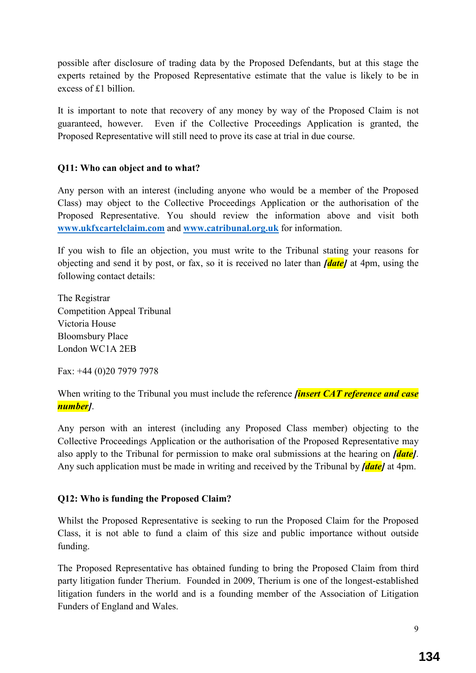possible after disclosure of trading data by the Proposed Defendants, but at this stage the experts retained by the Proposed Representative estimate that the value is likely to be in excess of £1 billion.

It is important to note that recovery of any money by way of the Proposed Claim is not guaranteed, however. Even if the Collective Proceedings Application is granted, the Proposed Representative will still need to prove its case at trial in due course.

### **Q11: Who can object and to what?**

Any person with an interest (including anyone who would be a member of the Proposed Class) may object to the Collective Proceedings Application or the authorisation of the Proposed Representative. You should review the information above and visit both **www.ukfxcartelclaim.com** and **www.catribunal.org.uk** for information.

If you wish to file an objection, you must write to the Tribunal stating your reasons for objecting and send it by post, or fax, so it is received no later than *[date]* at 4pm, using the following contact details:

The Registrar Competition Appeal Tribunal Victoria House Bloomsbury Place London WC1A 2EB

Fax: +44 (0)20 7979 7978

When writing to the Tribunal you must include the reference *finsert CAT reference and case number]*.

Any person with an interest (including any Proposed Class member) objecting to the Collective Proceedings Application or the authorisation of the Proposed Representative may also apply to the Tribunal for permission to make oral submissions at the hearing on *[date]*. Any such application must be made in writing and received by the Tribunal by *[date]* at 4pm.

#### **Q12: Who is funding the Proposed Claim?**

Whilst the Proposed Representative is seeking to run the Proposed Claim for the Proposed Class, it is not able to fund a claim of this size and public importance without outside funding.

The Proposed Representative has obtained funding to bring the Proposed Claim from third party litigation funder Therium. Founded in 2009, Therium is one of the longest-established litigation funders in the world and is a founding member of the Association of Litigation Funders of England and Wales.